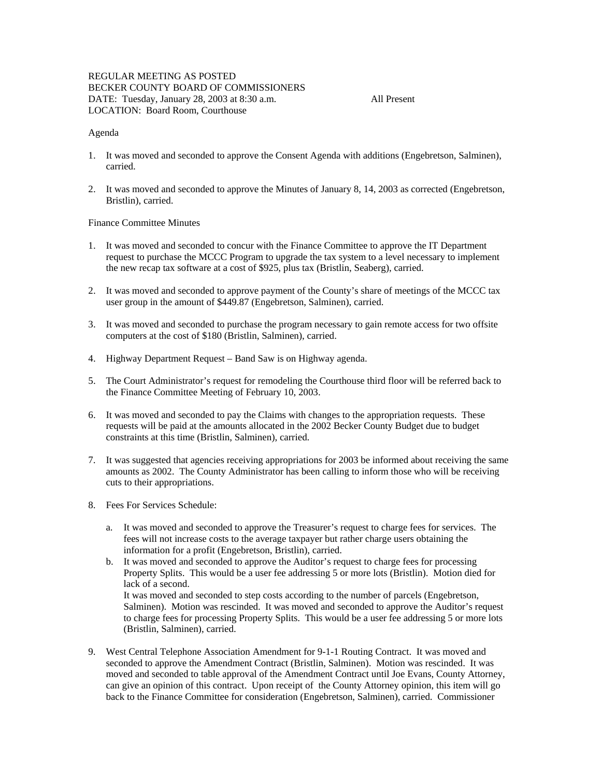## REGULAR MEETING AS POSTED BECKER COUNTY BOARD OF COMMISSIONERS DATE: Tuesday, January 28, 2003 at 8:30 a.m. All Present LOCATION: Board Room, Courthouse

#### Agenda

- 1. It was moved and seconded to approve the Consent Agenda with additions (Engebretson, Salminen), carried.
- 2. It was moved and seconded to approve the Minutes of January 8, 14, 2003 as corrected (Engebretson, Bristlin), carried.

#### Finance Committee Minutes

- 1. It was moved and seconded to concur with the Finance Committee to approve the IT Department request to purchase the MCCC Program to upgrade the tax system to a level necessary to implement the new recap tax software at a cost of \$925, plus tax (Bristlin, Seaberg), carried.
- 2. It was moved and seconded to approve payment of the County's share of meetings of the MCCC tax user group in the amount of \$449.87 (Engebretson, Salminen), carried.
- 3. It was moved and seconded to purchase the program necessary to gain remote access for two offsite computers at the cost of \$180 (Bristlin, Salminen), carried.
- 4. Highway Department Request Band Saw is on Highway agenda.
- 5. The Court Administrator's request for remodeling the Courthouse third floor will be referred back to the Finance Committee Meeting of February 10, 2003.
- 6. It was moved and seconded to pay the Claims with changes to the appropriation requests. These requests will be paid at the amounts allocated in the 2002 Becker County Budget due to budget constraints at this time (Bristlin, Salminen), carried.
- 7. It was suggested that agencies receiving appropriations for 2003 be informed about receiving the same amounts as 2002. The County Administrator has been calling to inform those who will be receiving cuts to their appropriations.
- 8. Fees For Services Schedule:
	- a. It was moved and seconded to approve the Treasurer's request to charge fees for services. The fees will not increase costs to the average taxpayer but rather charge users obtaining the information for a profit (Engebretson, Bristlin), carried.
	- b. It was moved and seconded to approve the Auditor's request to charge fees for processing Property Splits. This would be a user fee addressing 5 or more lots (Bristlin). Motion died for lack of a second. It was moved and seconded to step costs according to the number of parcels (Engebretson,
		- Salminen). Motion was rescinded. It was moved and seconded to approve the Auditor's request to charge fees for processing Property Splits. This would be a user fee addressing 5 or more lots (Bristlin, Salminen), carried.
- 9. West Central Telephone Association Amendment for 9-1-1 Routing Contract. It was moved and seconded to approve the Amendment Contract (Bristlin, Salminen). Motion was rescinded. It was moved and seconded to table approval of the Amendment Contract until Joe Evans, County Attorney, can give an opinion of this contract. Upon receipt of the County Attorney opinion, this item will go back to the Finance Committee for consideration (Engebretson, Salminen), carried. Commissioner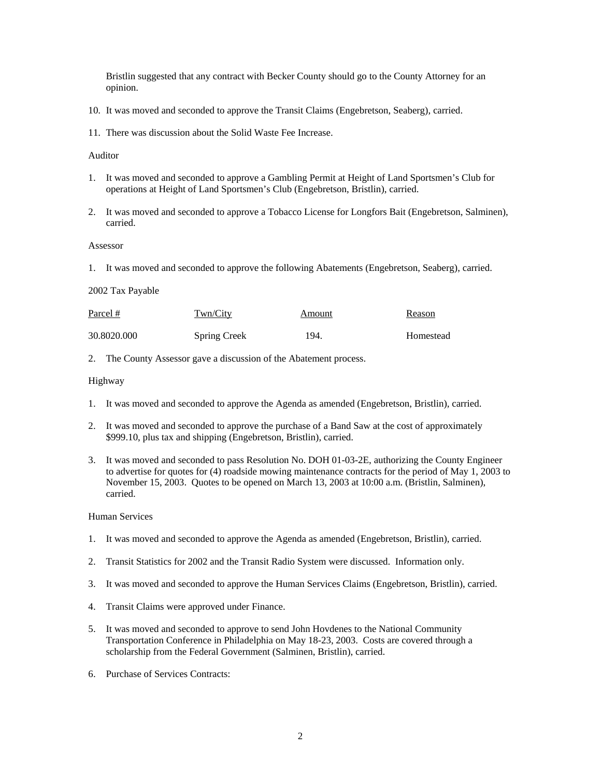Bristlin suggested that any contract with Becker County should go to the County Attorney for an opinion.

- 10. It was moved and seconded to approve the Transit Claims (Engebretson, Seaberg), carried.
- 11. There was discussion about the Solid Waste Fee Increase.

Auditor

- 1. It was moved and seconded to approve a Gambling Permit at Height of Land Sportsmen's Club for operations at Height of Land Sportsmen's Club (Engebretson, Bristlin), carried.
- 2. It was moved and seconded to approve a Tobacco License for Longfors Bait (Engebretson, Salminen), carried.

#### Assessor

1. It was moved and seconded to approve the following Abatements (Engebretson, Seaberg), carried.

### 2002 Tax Payable

| Parcel #    | Twn/City            | Amount | Reason    |
|-------------|---------------------|--------|-----------|
| 30.8020.000 | <b>Spring Creek</b> | -194.  | Homestead |

2. The County Assessor gave a discussion of the Abatement process.

#### Highway

- 1. It was moved and seconded to approve the Agenda as amended (Engebretson, Bristlin), carried.
- 2. It was moved and seconded to approve the purchase of a Band Saw at the cost of approximately \$999.10, plus tax and shipping (Engebretson, Bristlin), carried.
- 3. It was moved and seconded to pass Resolution No. DOH 01-03-2E, authorizing the County Engineer to advertise for quotes for (4) roadside mowing maintenance contracts for the period of May 1, 2003 to November 15, 2003. Quotes to be opened on March 13, 2003 at 10:00 a.m. (Bristlin, Salminen), carried.

#### Human Services

- 1. It was moved and seconded to approve the Agenda as amended (Engebretson, Bristlin), carried.
- 2. Transit Statistics for 2002 and the Transit Radio System were discussed. Information only.
- 3. It was moved and seconded to approve the Human Services Claims (Engebretson, Bristlin), carried.
- 4. Transit Claims were approved under Finance.
- 5. It was moved and seconded to approve to send John Hovdenes to the National Community Transportation Conference in Philadelphia on May 18-23, 2003. Costs are covered through a scholarship from the Federal Government (Salminen, Bristlin), carried.
- 6. Purchase of Services Contracts: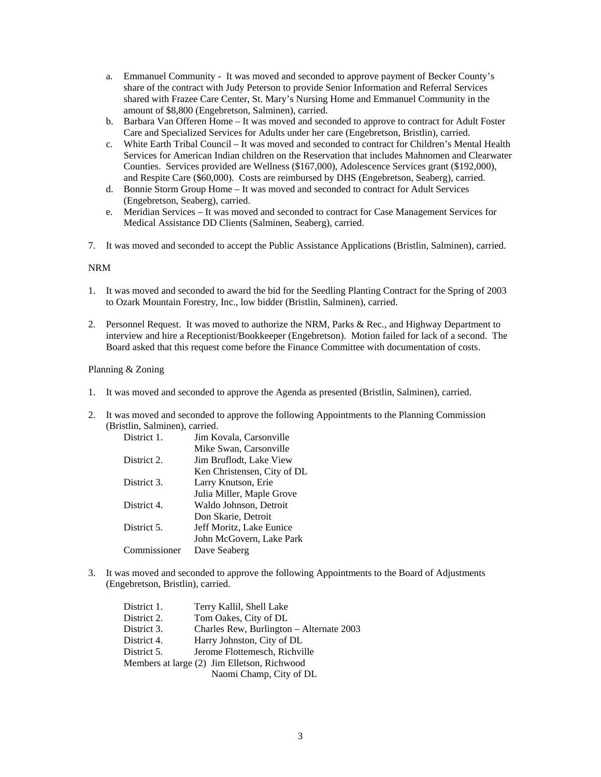- a. Emmanuel Community It was moved and seconded to approve payment of Becker County's share of the contract with Judy Peterson to provide Senior Information and Referral Services shared with Frazee Care Center, St. Mary's Nursing Home and Emmanuel Community in the amount of \$8,800 (Engebretson, Salminen), carried.
- b. Barbara Van Offeren Home It was moved and seconded to approve to contract for Adult Foster Care and Specialized Services for Adults under her care (Engebretson, Bristlin), carried.
- c. White Earth Tribal Council It was moved and seconded to contract for Children's Mental Health Services for American Indian children on the Reservation that includes Mahnomen and Clearwater Counties. Services provided are Wellness (\$167,000), Adolescence Services grant (\$192,000), and Respite Care (\$60,000). Costs are reimbursed by DHS (Engebretson, Seaberg), carried.
- d. Bonnie Storm Group Home It was moved and seconded to contract for Adult Services (Engebretson, Seaberg), carried.
- e. Meridian Services It was moved and seconded to contract for Case Management Services for Medical Assistance DD Clients (Salminen, Seaberg), carried.
- 7. It was moved and seconded to accept the Public Assistance Applications (Bristlin, Salminen), carried.

#### NRM

- 1. It was moved and seconded to award the bid for the Seedling Planting Contract for the Spring of 2003 to Ozark Mountain Forestry, Inc., low bidder (Bristlin, Salminen), carried.
- 2. Personnel Request. It was moved to authorize the NRM, Parks & Rec., and Highway Department to interview and hire a Receptionist/Bookkeeper (Engebretson). Motion failed for lack of a second. The Board asked that this request come before the Finance Committee with documentation of costs.

#### Planning & Zoning

- 1. It was moved and seconded to approve the Agenda as presented (Bristlin, Salminen), carried.
- 2. It was moved and seconded to approve the following Appointments to the Planning Commission (Bristlin, Salminen), carried.

| District 1.  | Jim Kovala, Carsonville     |
|--------------|-----------------------------|
|              | Mike Swan, Carsonville      |
| District 2.  | Jim Bruflodt, Lake View     |
|              | Ken Christensen, City of DL |
| District 3.  | Larry Knutson, Erie         |
|              | Julia Miller, Maple Grove   |
| District 4.  | Waldo Johnson, Detroit      |
|              | Don Skarie, Detroit         |
| District 5.  | Jeff Moritz, Lake Eunice    |
|              | John McGovern, Lake Park    |
| Commissioner | Dave Seaberg                |

3. It was moved and seconded to approve the following Appointments to the Board of Adjustments (Engebretson, Bristlin), carried.

| District 1. | Terry Kallil, Shell Lake                    |
|-------------|---------------------------------------------|
| District 2. | Tom Oakes, City of DL                       |
| District 3. | Charles Rew, Burlington - Alternate 2003    |
| District 4. | Harry Johnston, City of DL                  |
| District 5. | Jerome Flottemesch, Richville               |
|             | Members at large (2) Jim Elletson, Richwood |
|             | Naomi Champ, City of DL                     |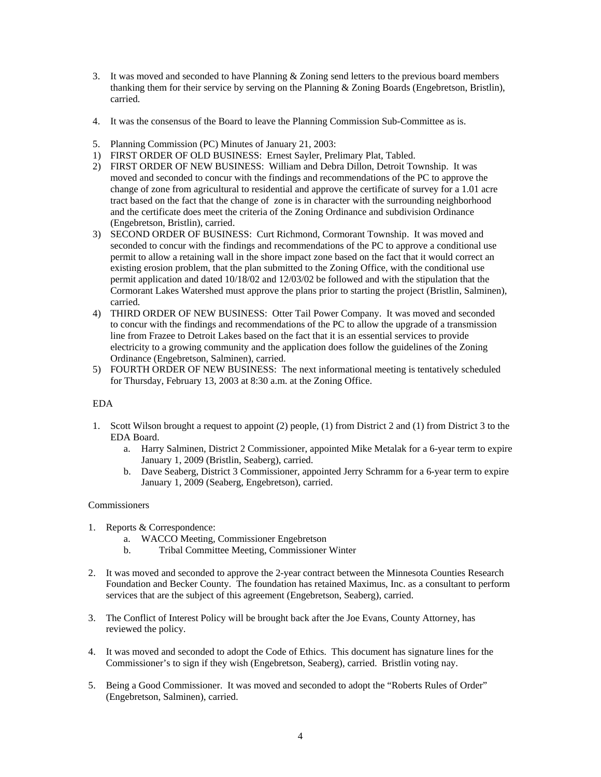- 3. It was moved and seconded to have Planning & Zoning send letters to the previous board members thanking them for their service by serving on the Planning & Zoning Boards (Engebretson, Bristlin), carried.
- 4. It was the consensus of the Board to leave the Planning Commission Sub-Committee as is.
- 5. Planning Commission (PC) Minutes of January 21, 2003:
- 1) FIRST ORDER OF OLD BUSINESS: Ernest Sayler, Prelimary Plat, Tabled.
- 2) FIRST ORDER OF NEW BUSINESS: William and Debra Dillon, Detroit Township. It was moved and seconded to concur with the findings and recommendations of the PC to approve the change of zone from agricultural to residential and approve the certificate of survey for a 1.01 acre tract based on the fact that the change of zone is in character with the surrounding neighborhood and the certificate does meet the criteria of the Zoning Ordinance and subdivision Ordinance (Engebretson, Bristlin), carried.
- 3) SECOND ORDER OF BUSINESS: Curt Richmond, Cormorant Township. It was moved and seconded to concur with the findings and recommendations of the PC to approve a conditional use permit to allow a retaining wall in the shore impact zone based on the fact that it would correct an existing erosion problem, that the plan submitted to the Zoning Office, with the conditional use permit application and dated 10/18/02 and 12/03/02 be followed and with the stipulation that the Cormorant Lakes Watershed must approve the plans prior to starting the project (Bristlin, Salminen), carried.
- 4) THIRD ORDER OF NEW BUSINESS: Otter Tail Power Company. It was moved and seconded to concur with the findings and recommendations of the PC to allow the upgrade of a transmission line from Frazee to Detroit Lakes based on the fact that it is an essential services to provide electricity to a growing community and the application does follow the guidelines of the Zoning Ordinance (Engebretson, Salminen), carried.
- 5) FOURTH ORDER OF NEW BUSINESS: The next informational meeting is tentatively scheduled for Thursday, February 13, 2003 at 8:30 a.m. at the Zoning Office.

#### EDA

- 1. Scott Wilson brought a request to appoint (2) people, (1) from District 2 and (1) from District 3 to the EDA Board.
	- a. Harry Salminen, District 2 Commissioner, appointed Mike Metalak for a 6-year term to expire January 1, 2009 (Bristlin, Seaberg), carried.
	- b. Dave Seaberg, District 3 Commissioner, appointed Jerry Schramm for a 6-year term to expire January 1, 2009 (Seaberg, Engebretson), carried.

#### **Commissioners**

- 1. Reports & Correspondence:
	- a. WACCO Meeting, Commissioner Engebretson
	- b. Tribal Committee Meeting, Commissioner Winter
- 2. It was moved and seconded to approve the 2-year contract between the Minnesota Counties Research Foundation and Becker County. The foundation has retained Maximus, Inc. as a consultant to perform services that are the subject of this agreement (Engebretson, Seaberg), carried.
- 3. The Conflict of Interest Policy will be brought back after the Joe Evans, County Attorney, has reviewed the policy.
- 4. It was moved and seconded to adopt the Code of Ethics. This document has signature lines for the Commissioner's to sign if they wish (Engebretson, Seaberg), carried. Bristlin voting nay.
- 5. Being a Good Commissioner. It was moved and seconded to adopt the "Roberts Rules of Order" (Engebretson, Salminen), carried.